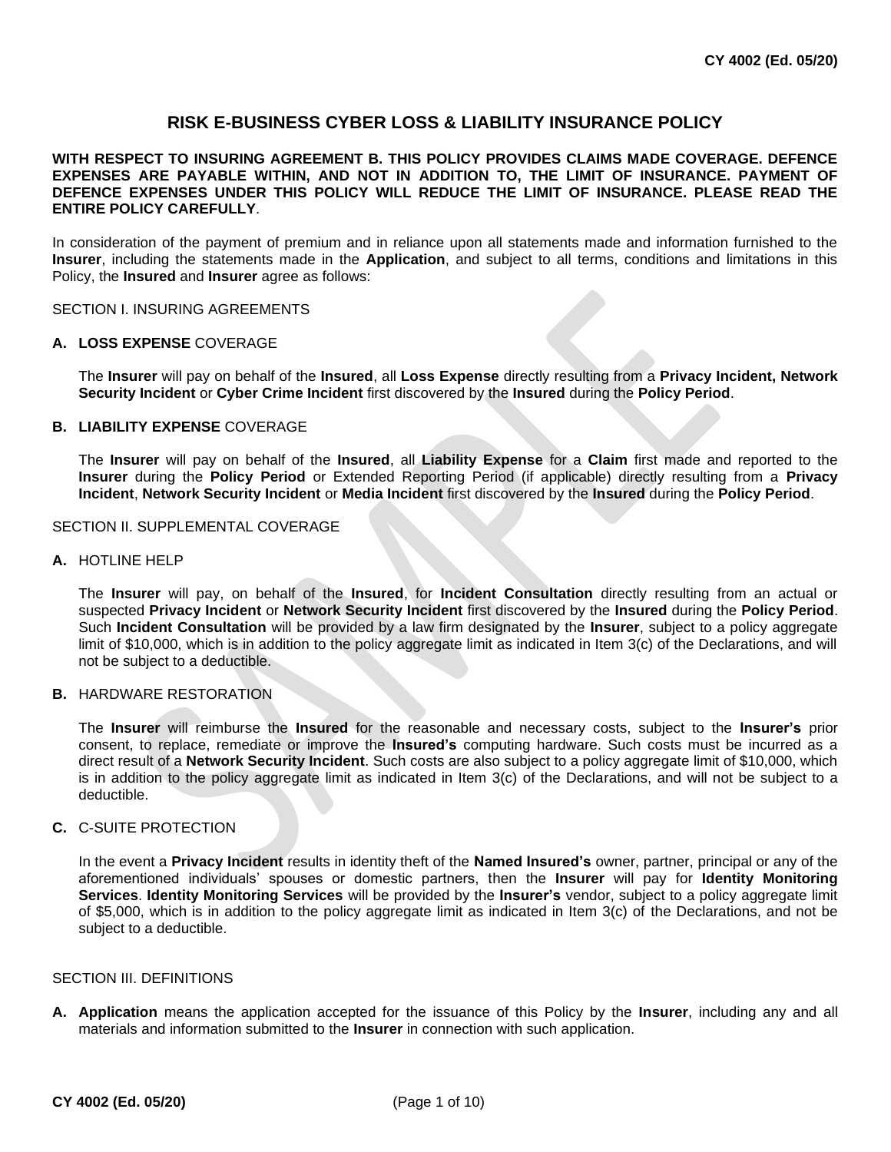# **RISK E-BUSINESS CYBER LOSS & LIABILITY INSURANCE POLICY**

## **WITH RESPECT TO INSURING AGREEMENT B. THIS POLICY PROVIDES CLAIMS MADE COVERAGE. DEFENCE EXPENSES ARE PAYABLE WITHIN, AND NOT IN ADDITION TO, THE LIMIT OF INSURANCE. PAYMENT OF DEFENCE EXPENSES UNDER THIS POLICY WILL REDUCE THE LIMIT OF INSURANCE. PLEASE READ THE ENTIRE POLICY CAREFULLY**.

In consideration of the payment of premium and in reliance upon all statements made and information furnished to the **Insurer**, including the statements made in the **Application**, and subject to all terms, conditions and limitations in this Policy, the **Insured** and **Insurer** agree as follows:

SECTION I. INSURING AGREEMENTS

#### **A. LOSS EXPENSE** COVERAGE

The **Insurer** will pay on behalf of the **Insured**, all **Loss Expense** directly resulting from a **Privacy Incident, Network Security Incident** or **Cyber Crime Incident** first discovered by the **Insured** during the **Policy Period**.

#### **B. LIABILITY EXPENSE** COVERAGE

The **Insurer** will pay on behalf of the **Insured**, all **Liability Expense** for a **Claim** first made and reported to the **Insurer** during the **Policy Period** or Extended Reporting Period (if applicable) directly resulting from a **Privacy Incident**, **Network Security Incident** or **Media Incident** first discovered by the **Insured** during the **Policy Period**.

## SECTION II. SUPPLEMENTAL COVERAGE

#### **A.** HOTLINE HELP

The **Insurer** will pay, on behalf of the **Insured**, for **Incident Consultation** directly resulting from an actual or suspected **Privacy Incident** or **Network Security Incident** first discovered by the **Insured** during the **Policy Period**. Such **Incident Consultation** will be provided by a law firm designated by the **Insurer**, subject to a policy aggregate limit of \$10,000, which is in addition to the policy aggregate limit as indicated in Item 3(c) of the Declarations, and will not be subject to a deductible.

#### **B.** HARDWARE RESTORATION

The **Insurer** will reimburse the **Insured** for the reasonable and necessary costs, subject to the **Insurer's** prior consent, to replace, remediate or improve the **Insured's** computing hardware. Such costs must be incurred as a direct result of a **Network Security Incident**. Such costs are also subject to a policy aggregate limit of \$10,000, which is in addition to the policy aggregate limit as indicated in Item 3(c) of the Declarations, and will not be subject to a deductible.

#### **C.** C-SUITE PROTECTION

In the event a **Privacy Incident** results in identity theft of the **Named Insured's** owner, partner, principal or any of the aforementioned individuals' spouses or domestic partners, then the **Insurer** will pay for **Identity Monitoring Services**. **Identity Monitoring Services** will be provided by the **Insurer's** vendor, subject to a policy aggregate limit of \$5,000, which is in addition to the policy aggregate limit as indicated in Item 3(c) of the Declarations, and not be subject to a deductible.

#### SECTION III. DEFINITIONS

**A. Application** means the application accepted for the issuance of this Policy by the **Insurer**, including any and all materials and information submitted to the **Insurer** in connection with such application.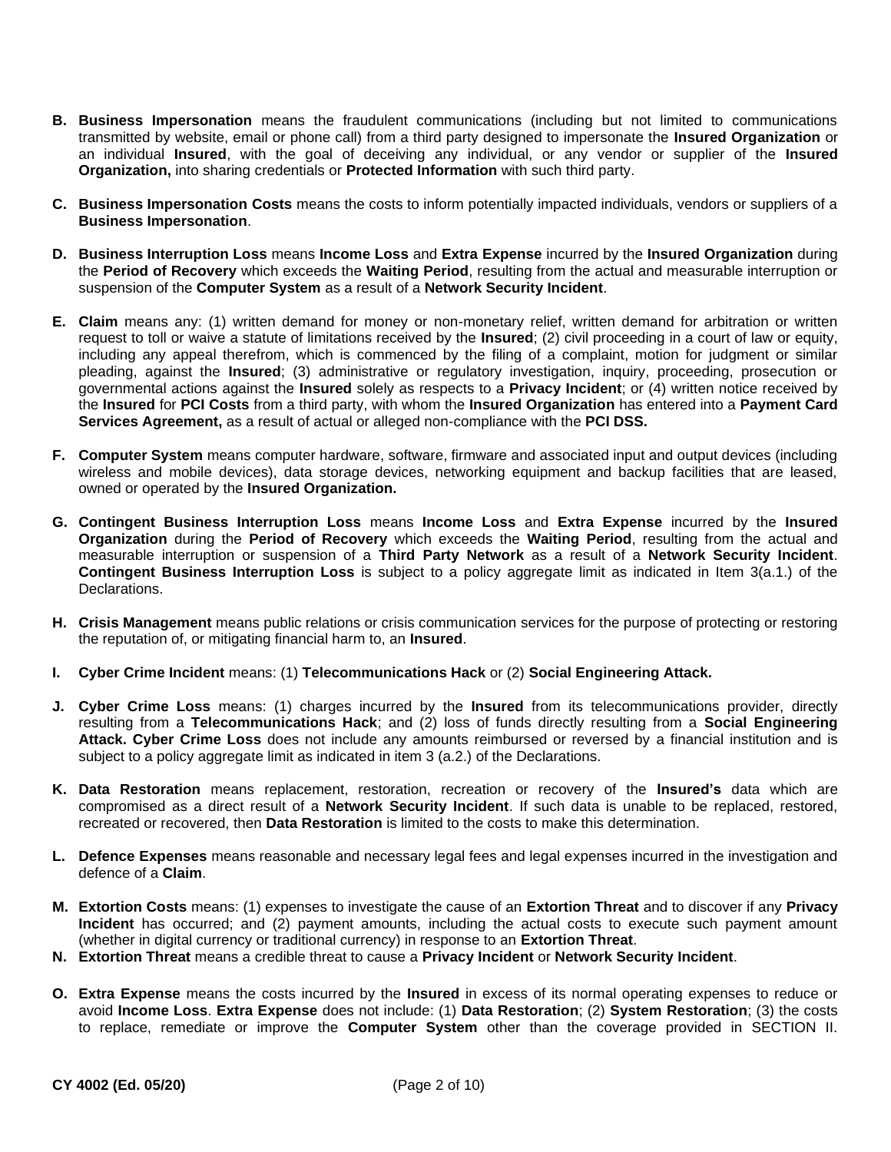- **B. Business Impersonation** means the fraudulent communications (including but not limited to communications transmitted by website, email or phone call) from a third party designed to impersonate the **Insured Organization** or an individual **Insured**, with the goal of deceiving any individual, or any vendor or supplier of the **Insured Organization,** into sharing credentials or **Protected Information** with such third party.
- **C. Business Impersonation Costs** means the costs to inform potentially impacted individuals, vendors or suppliers of a **Business Impersonation**.
- **D. Business Interruption Loss** means **Income Loss** and **Extra Expense** incurred by the **Insured Organization** during the **Period of Recovery** which exceeds the **Waiting Period**, resulting from the actual and measurable interruption or suspension of the **Computer System** as a result of a **Network Security Incident**.
- **E. Claim** means any: (1) written demand for money or non-monetary relief, written demand for arbitration or written request to toll or waive a statute of limitations received by the **Insured**; (2) civil proceeding in a court of law or equity, including any appeal therefrom, which is commenced by the filing of a complaint, motion for judgment or similar pleading, against the **Insured**; (3) administrative or regulatory investigation, inquiry, proceeding, prosecution or governmental actions against the **Insured** solely as respects to a **Privacy Incident**; or (4) written notice received by the **Insured** for **PCI Costs** from a third party, with whom the **Insured Organization** has entered into a **Payment Card Services Agreement,** as a result of actual or alleged non-compliance with the **PCI DSS.**
- **F. Computer System** means computer hardware, software, firmware and associated input and output devices (including wireless and mobile devices), data storage devices, networking equipment and backup facilities that are leased, owned or operated by the **Insured Organization.**
- **G. Contingent Business Interruption Loss** means **Income Loss** and **Extra Expense** incurred by the **Insured Organization** during the **Period of Recovery** which exceeds the **Waiting Period**, resulting from the actual and measurable interruption or suspension of a **Third Party Network** as a result of a **Network Security Incident**. **Contingent Business Interruption Loss** is subject to a policy aggregate limit as indicated in Item 3(a.1.) of the Declarations.
- **H. Crisis Management** means public relations or crisis communication services for the purpose of protecting or restoring the reputation of, or mitigating financial harm to, an **Insured**.
- **I. Cyber Crime Incident** means: (1) **Telecommunications Hack** or (2) **Social Engineering Attack.**
- **J. Cyber Crime Loss** means: (1) charges incurred by the **Insured** from its telecommunications provider, directly resulting from a **Telecommunications Hack**; and (2) loss of funds directly resulting from a **Social Engineering Attack. Cyber Crime Loss** does not include any amounts reimbursed or reversed by a financial institution and is subject to a policy aggregate limit as indicated in item 3 (a.2.) of the Declarations.
- **K. Data Restoration** means replacement, restoration, recreation or recovery of the **Insured's** data which are compromised as a direct result of a **Network Security Incident**. If such data is unable to be replaced, restored, recreated or recovered, then **Data Restoration** is limited to the costs to make this determination.
- **L. Defence Expenses** means reasonable and necessary legal fees and legal expenses incurred in the investigation and defence of a **Claim**.
- **M. Extortion Costs** means: (1) expenses to investigate the cause of an **Extortion Threat** and to discover if any **Privacy Incident** has occurred; and (2) payment amounts, including the actual costs to execute such payment amount (whether in digital currency or traditional currency) in response to an **Extortion Threat**.
- **N. Extortion Threat** means a credible threat to cause a **Privacy Incident** or **Network Security Incident**.
- **O. Extra Expense** means the costs incurred by the **Insured** in excess of its normal operating expenses to reduce or avoid **Income Loss**. **Extra Expense** does not include: (1) **Data Restoration**; (2) **System Restoration**; (3) the costs to replace, remediate or improve the **Computer System** other than the coverage provided in SECTION II.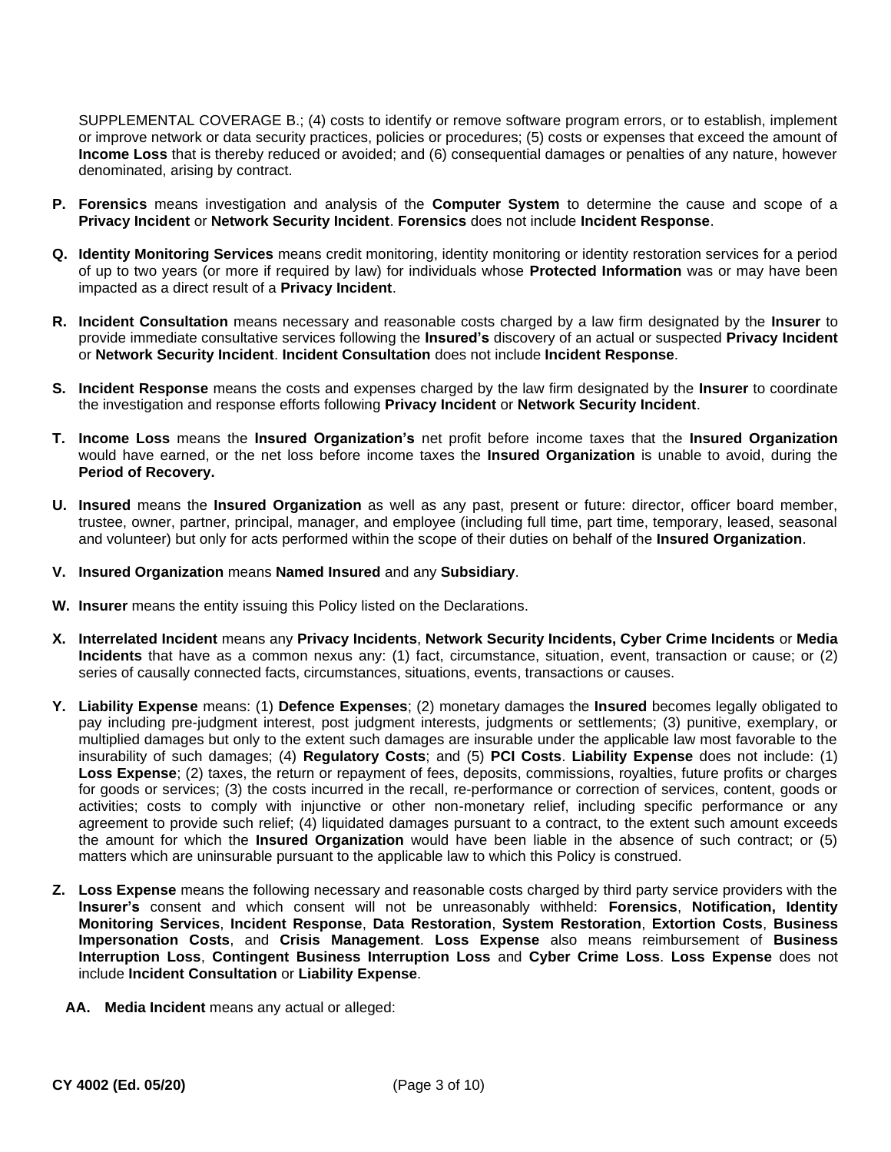SUPPLEMENTAL COVERAGE B.; (4) costs to identify or remove software program errors, or to establish, implement or improve network or data security practices, policies or procedures; (5) costs or expenses that exceed the amount of **Income Loss** that is thereby reduced or avoided; and (6) consequential damages or penalties of any nature, however denominated, arising by contract.

- **P. Forensics** means investigation and analysis of the **Computer System** to determine the cause and scope of a **Privacy Incident** or **Network Security Incident**. **Forensics** does not include **Incident Response**.
- **Q. Identity Monitoring Services** means credit monitoring, identity monitoring or identity restoration services for a period of up to two years (or more if required by law) for individuals whose **Protected Information** was or may have been impacted as a direct result of a **Privacy Incident**.
- **R. Incident Consultation** means necessary and reasonable costs charged by a law firm designated by the **Insurer** to provide immediate consultative services following the **Insured's** discovery of an actual or suspected **Privacy Incident**  or **Network Security Incident**. **Incident Consultation** does not include **Incident Response**.
- **S. Incident Response** means the costs and expenses charged by the law firm designated by the **Insurer** to coordinate the investigation and response efforts following **Privacy Incident** or **Network Security Incident**.
- **T. Income Loss** means the **Insured Organization's** net profit before income taxes that the **Insured Organization**  would have earned, or the net loss before income taxes the **Insured Organization** is unable to avoid, during the **Period of Recovery.**
- **U. Insured** means the **Insured Organization** as well as any past, present or future: director, officer board member, trustee, owner, partner, principal, manager, and employee (including full time, part time, temporary, leased, seasonal and volunteer) but only for acts performed within the scope of their duties on behalf of the **Insured Organization**.
- **V. Insured Organization** means **Named Insured** and any **Subsidiary**.
- **W. Insurer** means the entity issuing this Policy listed on the Declarations.
- **X. Interrelated Incident** means any **Privacy Incidents**, **Network Security Incidents, Cyber Crime Incidents** or **Media Incidents** that have as a common nexus any: (1) fact, circumstance, situation, event, transaction or cause; or (2) series of causally connected facts, circumstances, situations, events, transactions or causes.
- **Y. Liability Expense** means: (1) **Defence Expenses**; (2) monetary damages the **Insured** becomes legally obligated to pay including pre-judgment interest, post judgment interests, judgments or settlements; (3) punitive, exemplary, or multiplied damages but only to the extent such damages are insurable under the applicable law most favorable to the insurability of such damages; (4) **Regulatory Costs**; and (5) **PCI Costs**. **Liability Expense** does not include: (1) Loss Expense; (2) taxes, the return or repayment of fees, deposits, commissions, royalties, future profits or charges for goods or services; (3) the costs incurred in the recall, re-performance or correction of services, content, goods or activities; costs to comply with injunctive or other non-monetary relief, including specific performance or any agreement to provide such relief; (4) liquidated damages pursuant to a contract, to the extent such amount exceeds the amount for which the **Insured Organization** would have been liable in the absence of such contract; or (5) matters which are uninsurable pursuant to the applicable law to which this Policy is construed.
- **Z. Loss Expense** means the following necessary and reasonable costs charged by third party service providers with the **Insurer's** consent and which consent will not be unreasonably withheld: **Forensics**, **Notification, Identity Monitoring Services**, **Incident Response**, **Data Restoration**, **System Restoration**, **Extortion Costs**, **Business Impersonation Costs**, and **Crisis Management**. **Loss Expense** also means reimbursement of **Business Interruption Loss**, **Contingent Business Interruption Loss** and **Cyber Crime Loss**. **Loss Expense** does not include **Incident Consultation** or **Liability Expense**.
	- **AA. Media Incident** means any actual or alleged: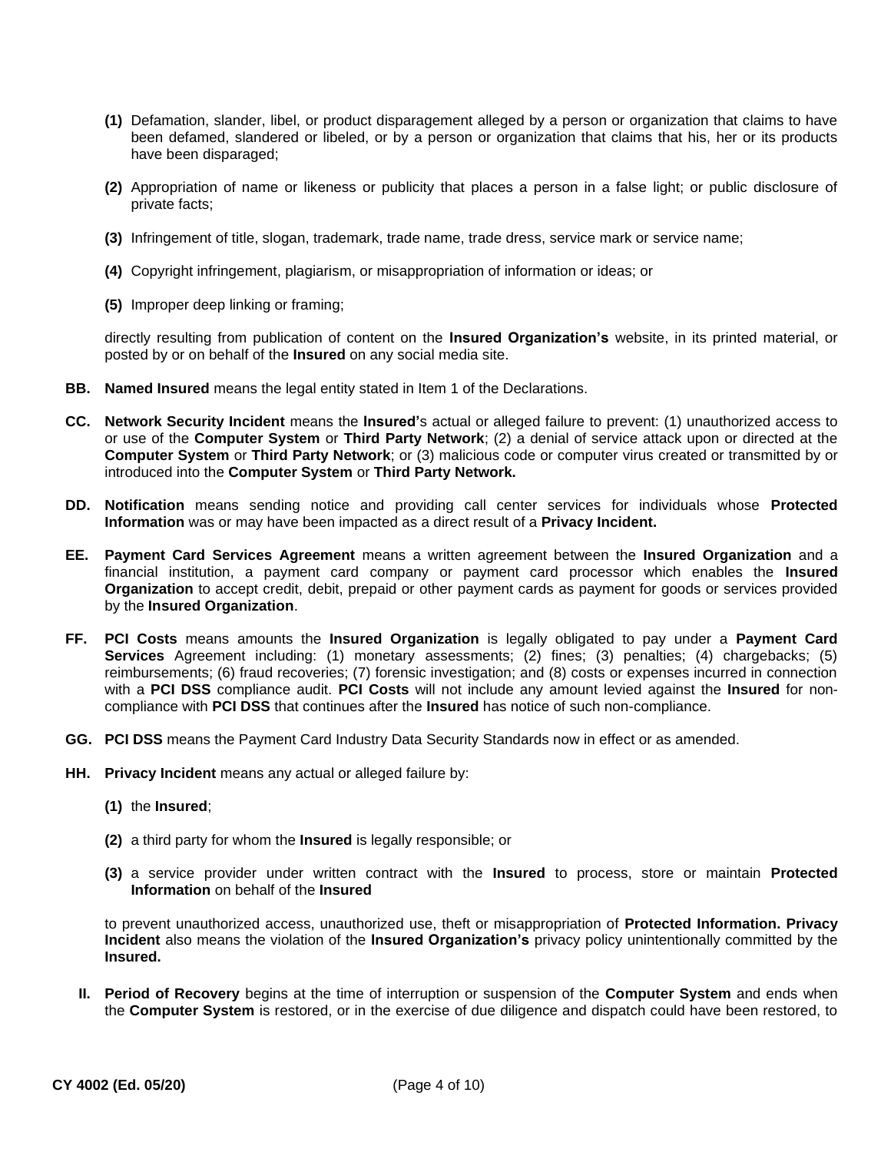- **(1)** Defamation, slander, libel, or product disparagement alleged by a person or organization that claims to have been defamed, slandered or libeled, or by a person or organization that claims that his, her or its products have been disparaged;
- **(2)** Appropriation of name or likeness or publicity that places a person in a false light; or public disclosure of private facts;
- **(3)** Infringement of title, slogan, trademark, trade name, trade dress, service mark or service name;
- **(4)** Copyright infringement, plagiarism, or misappropriation of information or ideas; or
- **(5)** Improper deep linking or framing;

directly resulting from publication of content on the **Insured Organization's** website, in its printed material, or posted by or on behalf of the **Insured** on any social media site.

- **BB. Named Insured** means the legal entity stated in Item 1 of the Declarations.
- **CC. Network Security Incident** means the **Insured'**s actual or alleged failure to prevent: (1) unauthorized access to or use of the **Computer System** or **Third Party Network**; (2) a denial of service attack upon or directed at the **Computer System** or **Third Party Network**; or (3) malicious code or computer virus created or transmitted by or introduced into the **Computer System** or **Third Party Network.**
- **DD. Notification** means sending notice and providing call center services for individuals whose **Protected Information** was or may have been impacted as a direct result of a **Privacy Incident.**
- **EE. Payment Card Services Agreement** means a written agreement between the **Insured Organization** and a financial institution, a payment card company or payment card processor which enables the **Insured Organization** to accept credit, debit, prepaid or other payment cards as payment for goods or services provided by the **Insured Organization**.
- **FF. PCI Costs** means amounts the **Insured Organization** is legally obligated to pay under a **Payment Card Services** Agreement including: (1) monetary assessments; (2) fines; (3) penalties; (4) chargebacks; (5) reimbursements; (6) fraud recoveries; (7) forensic investigation; and (8) costs or expenses incurred in connection with a **PCI DSS** compliance audit. **PCI Costs** will not include any amount levied against the **Insured** for noncompliance with **PCI DSS** that continues after the **Insured** has notice of such non-compliance.
- **GG. PCI DSS** means the Payment Card Industry Data Security Standards now in effect or as amended.
- **HH. Privacy Incident** means any actual or alleged failure by:
	- **(1)** the **Insured**;
	- **(2)** a third party for whom the **Insured** is legally responsible; or
	- **(3)** a service provider under written contract with the **Insured** to process, store or maintain **Protected Information** on behalf of the **Insured**

to prevent unauthorized access, unauthorized use, theft or misappropriation of **Protected Information. Privacy Incident** also means the violation of the **Insured Organization's** privacy policy unintentionally committed by the **Insured.**

**II. Period of Recovery** begins at the time of interruption or suspension of the **Computer System** and ends when the **Computer System** is restored, or in the exercise of due diligence and dispatch could have been restored, to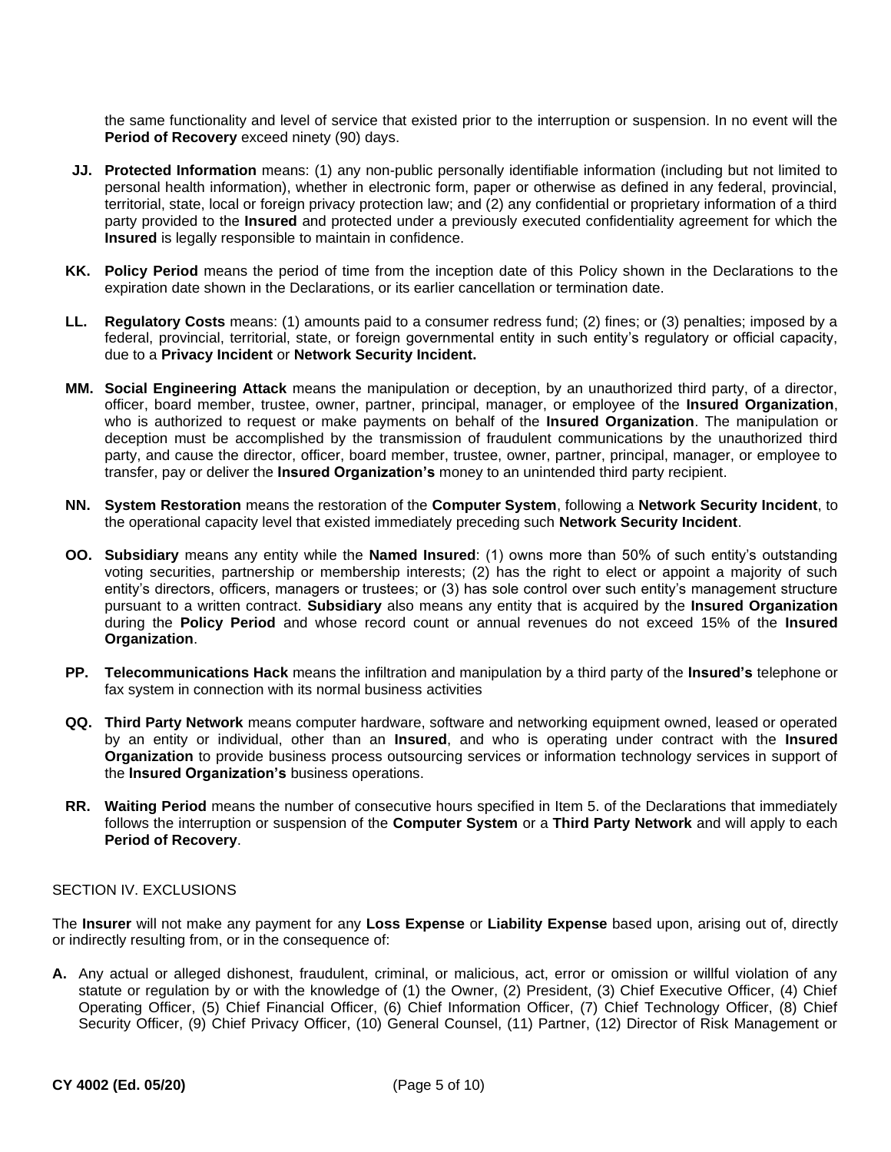the same functionality and level of service that existed prior to the interruption or suspension. In no event will the **Period of Recovery** exceed ninety (90) days.

- **JJ. Protected Information** means: (1) any non-public personally identifiable information (including but not limited to personal health information), whether in electronic form, paper or otherwise as defined in any federal, provincial, territorial, state, local or foreign privacy protection law; and (2) any confidential or proprietary information of a third party provided to the **Insured** and protected under a previously executed confidentiality agreement for which the **Insured** is legally responsible to maintain in confidence.
- **KK. Policy Period** means the period of time from the inception date of this Policy shown in the Declarations to the expiration date shown in the Declarations, or its earlier cancellation or termination date.
- **LL. Regulatory Costs** means: (1) amounts paid to a consumer redress fund; (2) fines; or (3) penalties; imposed by a federal, provincial, territorial, state, or foreign governmental entity in such entity's regulatory or official capacity, due to a **Privacy Incident** or **Network Security Incident.**
- **MM. Social Engineering Attack** means the manipulation or deception, by an unauthorized third party, of a director, officer, board member, trustee, owner, partner, principal, manager, or employee of the **Insured Organization**, who is authorized to request or make payments on behalf of the **Insured Organization**. The manipulation or deception must be accomplished by the transmission of fraudulent communications by the unauthorized third party, and cause the director, officer, board member, trustee, owner, partner, principal, manager, or employee to transfer, pay or deliver the **Insured Organization's** money to an unintended third party recipient.
- **NN. System Restoration** means the restoration of the **Computer System**, following a **Network Security Incident**, to the operational capacity level that existed immediately preceding such **Network Security Incident**.
- **OO. Subsidiary** means any entity while the **Named Insured**: (1) owns more than 50% of such entity's outstanding voting securities, partnership or membership interests; (2) has the right to elect or appoint a majority of such entity's directors, officers, managers or trustees; or (3) has sole control over such entity's management structure pursuant to a written contract. **Subsidiary** also means any entity that is acquired by the **Insured Organization**  during the **Policy Period** and whose record count or annual revenues do not exceed 15% of the **Insured Organization**.
- **PP. Telecommunications Hack** means the infiltration and manipulation by a third party of the **Insured's** telephone or fax system in connection with its normal business activities
- **QQ. Third Party Network** means computer hardware, software and networking equipment owned, leased or operated by an entity or individual, other than an **Insured**, and who is operating under contract with the **Insured Organization** to provide business process outsourcing services or information technology services in support of the **Insured Organization's** business operations.
- **RR. Waiting Period** means the number of consecutive hours specified in Item 5. of the Declarations that immediately follows the interruption or suspension of the **Computer System** or a **Third Party Network** and will apply to each **Period of Recovery**.

## SECTION IV. EXCLUSIONS

The **Insurer** will not make any payment for any **Loss Expense** or **Liability Expense** based upon, arising out of, directly or indirectly resulting from, or in the consequence of:

**A.** Any actual or alleged dishonest, fraudulent, criminal, or malicious, act, error or omission or willful violation of any statute or regulation by or with the knowledge of (1) the Owner, (2) President, (3) Chief Executive Officer, (4) Chief Operating Officer, (5) Chief Financial Officer, (6) Chief Information Officer, (7) Chief Technology Officer, (8) Chief Security Officer, (9) Chief Privacy Officer, (10) General Counsel, (11) Partner, (12) Director of Risk Management or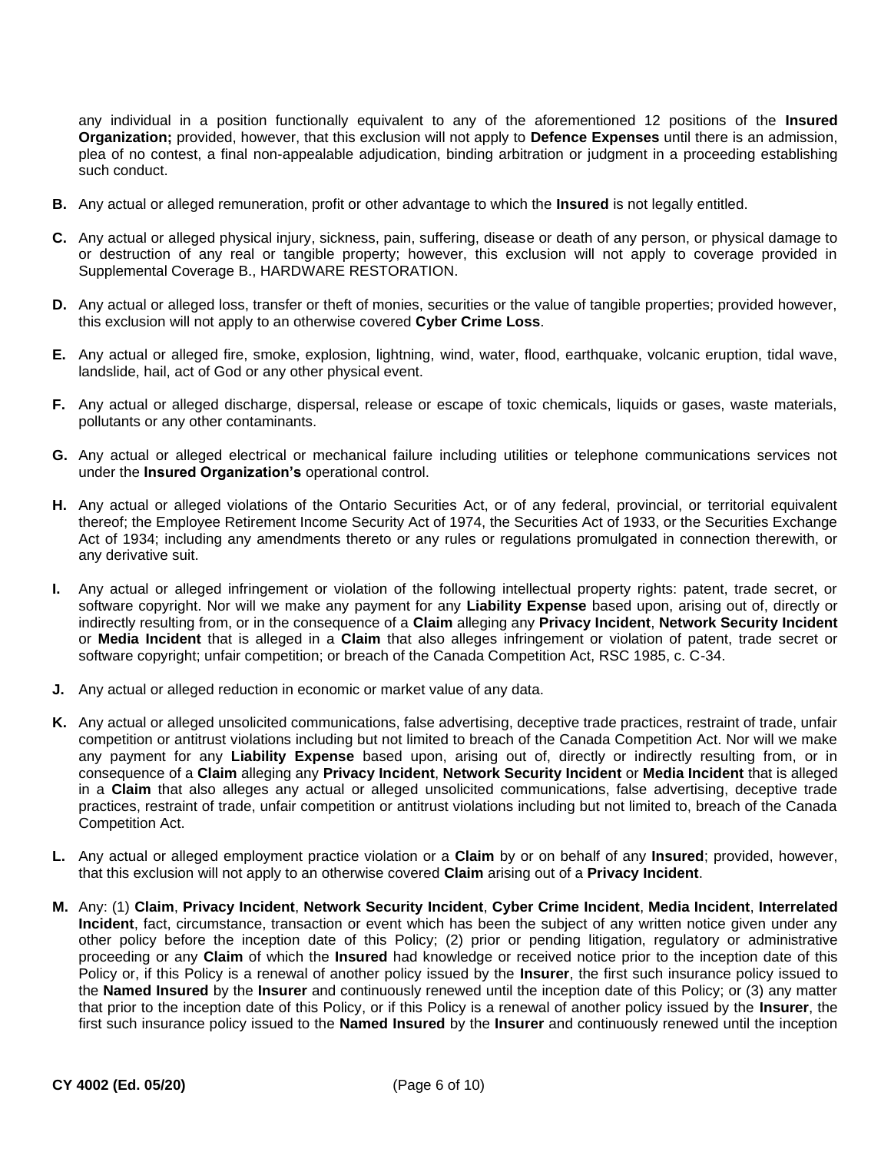any individual in a position functionally equivalent to any of the aforementioned 12 positions of the **Insured Organization;** provided, however, that this exclusion will not apply to **Defence Expenses** until there is an admission, plea of no contest, a final non-appealable adjudication, binding arbitration or judgment in a proceeding establishing such conduct.

- **B.** Any actual or alleged remuneration, profit or other advantage to which the **Insured** is not legally entitled.
- **C.** Any actual or alleged physical injury, sickness, pain, suffering, disease or death of any person, or physical damage to or destruction of any real or tangible property; however, this exclusion will not apply to coverage provided in Supplemental Coverage B., HARDWARE RESTORATION.
- **D.** Any actual or alleged loss, transfer or theft of monies, securities or the value of tangible properties; provided however, this exclusion will not apply to an otherwise covered **Cyber Crime Loss**.
- **E.** Any actual or alleged fire, smoke, explosion, lightning, wind, water, flood, earthquake, volcanic eruption, tidal wave, landslide, hail, act of God or any other physical event.
- **F.** Any actual or alleged discharge, dispersal, release or escape of toxic chemicals, liquids or gases, waste materials, pollutants or any other contaminants.
- **G.** Any actual or alleged electrical or mechanical failure including utilities or telephone communications services not under the **Insured Organization's** operational control.
- **H.** Any actual or alleged violations of the Ontario Securities Act, or of any federal, provincial, or territorial equivalent thereof; the Employee Retirement Income Security Act of 1974, the Securities Act of 1933, or the Securities Exchange Act of 1934; including any amendments thereto or any rules or regulations promulgated in connection therewith, or any derivative suit.
- **I.** Any actual or alleged infringement or violation of the following intellectual property rights: patent, trade secret, or software copyright. Nor will we make any payment for any **Liability Expense** based upon, arising out of, directly or indirectly resulting from, or in the consequence of a **Claim** alleging any **Privacy Incident**, **Network Security Incident**  or **Media Incident** that is alleged in a **Claim** that also alleges infringement or violation of patent, trade secret or software copyright; unfair competition; or breach of the Canada Competition Act, RSC 1985, c. C-34.
- **J.** Any actual or alleged reduction in economic or market value of any data.
- **K.** Any actual or alleged unsolicited communications, false advertising, deceptive trade practices, restraint of trade, unfair competition or antitrust violations including but not limited to breach of the Canada Competition Act. Nor will we make any payment for any **Liability Expense** based upon, arising out of, directly or indirectly resulting from, or in consequence of a **Claim** alleging any **Privacy Incident**, **Network Security Incident** or **Media Incident** that is alleged in a **Claim** that also alleges any actual or alleged unsolicited communications, false advertising, deceptive trade practices, restraint of trade, unfair competition or antitrust violations including but not limited to, breach of the Canada Competition Act.
- **L.** Any actual or alleged employment practice violation or a **Claim** by or on behalf of any **Insured**; provided, however, that this exclusion will not apply to an otherwise covered **Claim** arising out of a **Privacy Incident**.
- **M.** Any: (1) **Claim**, **Privacy Incident**, **Network Security Incident**, **Cyber Crime Incident**, **Media Incident**, **Interrelated Incident**, fact, circumstance, transaction or event which has been the subject of any written notice given under any other policy before the inception date of this Policy; (2) prior or pending litigation, regulatory or administrative proceeding or any **Claim** of which the **Insured** had knowledge or received notice prior to the inception date of this Policy or, if this Policy is a renewal of another policy issued by the **Insurer**, the first such insurance policy issued to the **Named Insured** by the **Insurer** and continuously renewed until the inception date of this Policy; or (3) any matter that prior to the inception date of this Policy, or if this Policy is a renewal of another policy issued by the **Insurer**, the first such insurance policy issued to the **Named Insured** by the **Insurer** and continuously renewed until the inception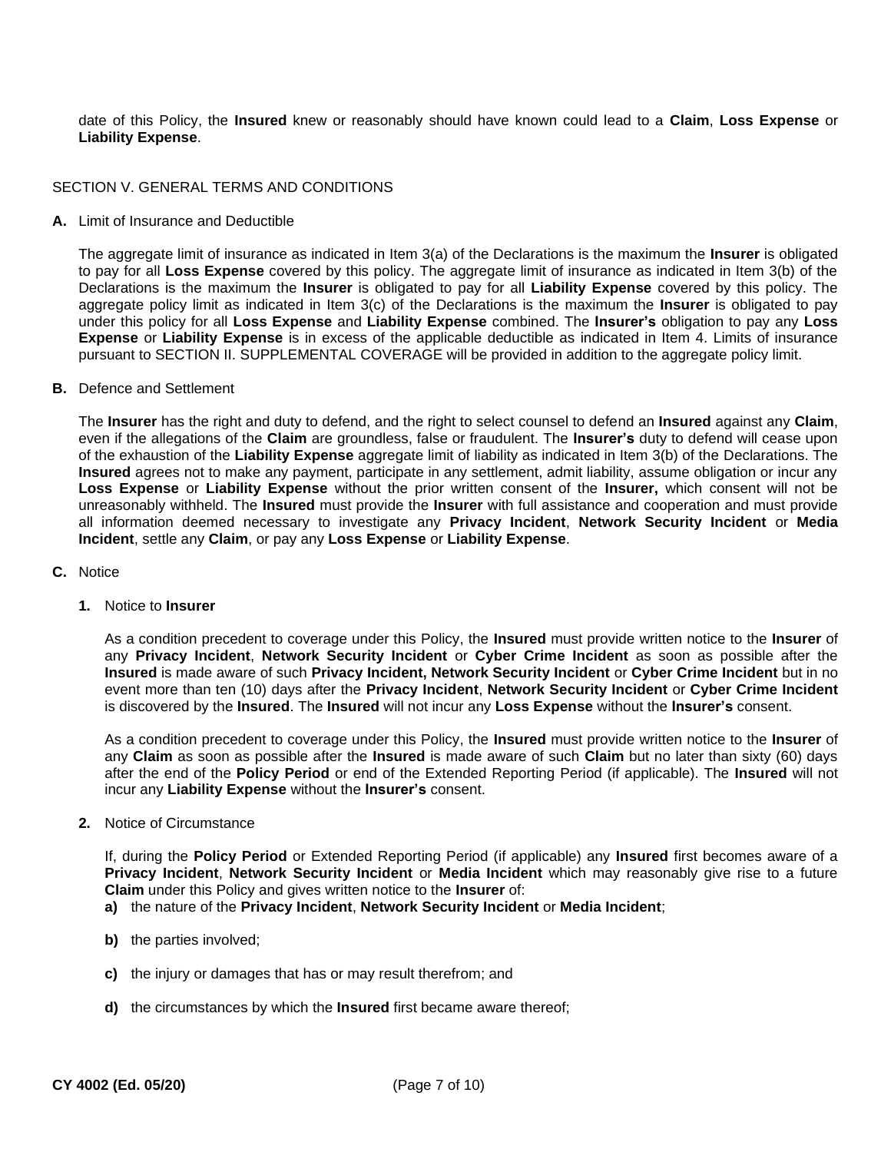date of this Policy, the **Insured** knew or reasonably should have known could lead to a **Claim**, **Loss Expense** or **Liability Expense**.

## SECTION V. GENERAL TERMS AND CONDITIONS

**A.** Limit of Insurance and Deductible

The aggregate limit of insurance as indicated in Item 3(a) of the Declarations is the maximum the **Insurer** is obligated to pay for all **Loss Expense** covered by this policy. The aggregate limit of insurance as indicated in Item 3(b) of the Declarations is the maximum the **Insurer** is obligated to pay for all **Liability Expense** covered by this policy. The aggregate policy limit as indicated in Item 3(c) of the Declarations is the maximum the **Insurer** is obligated to pay under this policy for all **Loss Expense** and **Liability Expense** combined. The **Insurer's** obligation to pay any **Loss Expense** or **Liability Expense** is in excess of the applicable deductible as indicated in Item 4. Limits of insurance pursuant to SECTION II. SUPPLEMENTAL COVERAGE will be provided in addition to the aggregate policy limit.

**B.** Defence and Settlement

The **Insurer** has the right and duty to defend, and the right to select counsel to defend an **Insured** against any **Claim**, even if the allegations of the **Claim** are groundless, false or fraudulent. The **Insurer's** duty to defend will cease upon of the exhaustion of the **Liability Expense** aggregate limit of liability as indicated in Item 3(b) of the Declarations. The **Insured** agrees not to make any payment, participate in any settlement, admit liability, assume obligation or incur any **Loss Expense** or **Liability Expense** without the prior written consent of the **Insurer,** which consent will not be unreasonably withheld. The **Insured** must provide the **Insurer** with full assistance and cooperation and must provide all information deemed necessary to investigate any **Privacy Incident**, **Network Security Incident** or **Media Incident**, settle any **Claim**, or pay any **Loss Expense** or **Liability Expense**.

- **C.** Notice
	- **1.** Notice to **Insurer**

As a condition precedent to coverage under this Policy, the **Insured** must provide written notice to the **Insurer** of any **Privacy Incident**, **Network Security Incident** or **Cyber Crime Incident** as soon as possible after the **Insured** is made aware of such **Privacy Incident, Network Security Incident** or **Cyber Crime Incident** but in no event more than ten (10) days after the **Privacy Incident**, **Network Security Incident** or **Cyber Crime Incident**  is discovered by the **Insured**. The **Insured** will not incur any **Loss Expense** without the **Insurer's** consent.

As a condition precedent to coverage under this Policy, the **Insured** must provide written notice to the **Insurer** of any **Claim** as soon as possible after the **Insured** is made aware of such **Claim** but no later than sixty (60) days after the end of the **Policy Period** or end of the Extended Reporting Period (if applicable). The **Insured** will not incur any **Liability Expense** without the **Insurer's** consent.

**2.** Notice of Circumstance

If, during the **Policy Period** or Extended Reporting Period (if applicable) any **Insured** first becomes aware of a **Privacy Incident**, **Network Security Incident** or **Media Incident** which may reasonably give rise to a future **Claim** under this Policy and gives written notice to the **Insurer** of:

- **a)** the nature of the **Privacy Incident**, **Network Security Incident** or **Media Incident**;
- **b)** the parties involved;
- **c)** the injury or damages that has or may result therefrom; and
- **d)** the circumstances by which the **Insured** first became aware thereof;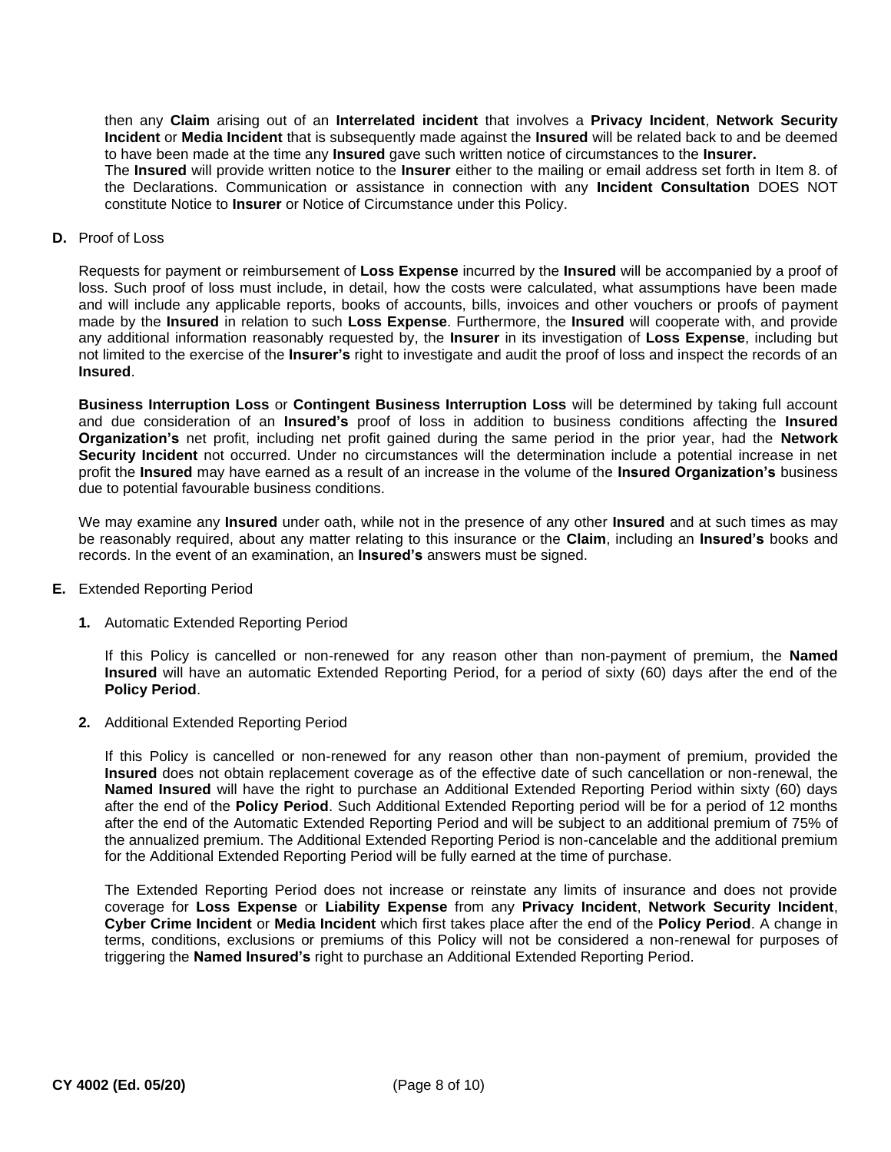then any **Claim** arising out of an **Interrelated incident** that involves a **Privacy Incident**, **Network Security Incident** or **Media Incident** that is subsequently made against the **Insured** will be related back to and be deemed to have been made at the time any **Insured** gave such written notice of circumstances to the **Insurer.**

The **Insured** will provide written notice to the **Insurer** either to the mailing or email address set forth in Item 8. of the Declarations. Communication or assistance in connection with any **Incident Consultation** DOES NOT constitute Notice to **Insurer** or Notice of Circumstance under this Policy.

**D.** Proof of Loss

Requests for payment or reimbursement of **Loss Expense** incurred by the **Insured** will be accompanied by a proof of loss. Such proof of loss must include, in detail, how the costs were calculated, what assumptions have been made and will include any applicable reports, books of accounts, bills, invoices and other vouchers or proofs of payment made by the **Insured** in relation to such **Loss Expense**. Furthermore, the **Insured** will cooperate with, and provide any additional information reasonably requested by, the **Insurer** in its investigation of **Loss Expense**, including but not limited to the exercise of the **Insurer's** right to investigate and audit the proof of loss and inspect the records of an **Insured**.

**Business Interruption Loss** or **Contingent Business Interruption Loss** will be determined by taking full account and due consideration of an **Insured's** proof of loss in addition to business conditions affecting the **Insured Organization's** net profit, including net profit gained during the same period in the prior year, had the **Network Security Incident** not occurred. Under no circumstances will the determination include a potential increase in net profit the **Insured** may have earned as a result of an increase in the volume of the **Insured Organization's** business due to potential favourable business conditions.

We may examine any **Insured** under oath, while not in the presence of any other **Insured** and at such times as may be reasonably required, about any matter relating to this insurance or the **Claim**, including an **Insured's** books and records. In the event of an examination, an **Insured's** answers must be signed.

- **E.** Extended Reporting Period
	- **1.** Automatic Extended Reporting Period

If this Policy is cancelled or non-renewed for any reason other than non-payment of premium, the **Named Insured** will have an automatic Extended Reporting Period, for a period of sixty (60) days after the end of the **Policy Period**.

**2.** Additional Extended Reporting Period

If this Policy is cancelled or non-renewed for any reason other than non-payment of premium, provided the **Insured** does not obtain replacement coverage as of the effective date of such cancellation or non-renewal, the **Named Insured** will have the right to purchase an Additional Extended Reporting Period within sixty (60) days after the end of the **Policy Period**. Such Additional Extended Reporting period will be for a period of 12 months after the end of the Automatic Extended Reporting Period and will be subject to an additional premium of 75% of the annualized premium. The Additional Extended Reporting Period is non-cancelable and the additional premium for the Additional Extended Reporting Period will be fully earned at the time of purchase.

The Extended Reporting Period does not increase or reinstate any limits of insurance and does not provide coverage for **Loss Expense** or **Liability Expense** from any **Privacy Incident**, **Network Security Incident**, **Cyber Crime Incident** or **Media Incident** which first takes place after the end of the **Policy Period**. A change in terms, conditions, exclusions or premiums of this Policy will not be considered a non-renewal for purposes of triggering the **Named Insured's** right to purchase an Additional Extended Reporting Period.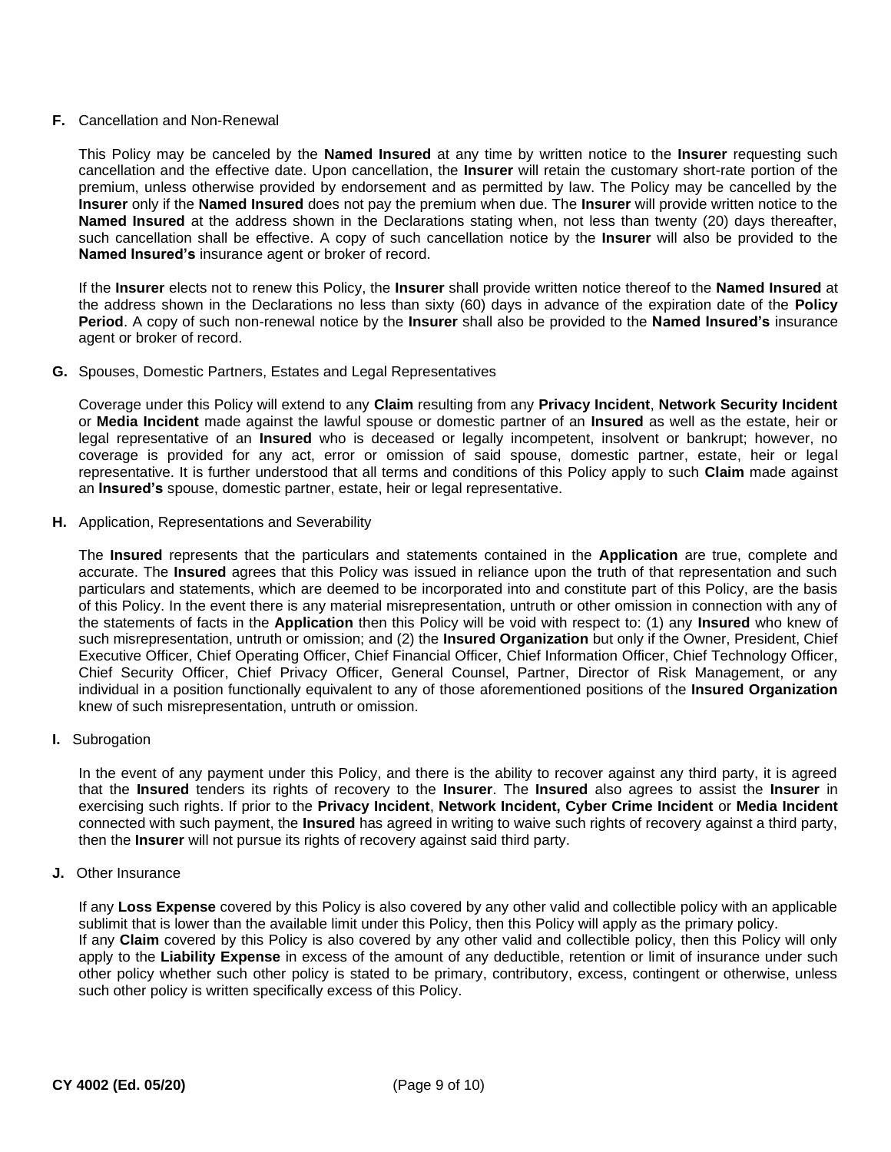## **F.** Cancellation and Non-Renewal

This Policy may be canceled by the **Named Insured** at any time by written notice to the **Insurer** requesting such cancellation and the effective date. Upon cancellation, the **Insurer** will retain the customary short-rate portion of the premium, unless otherwise provided by endorsement and as permitted by law. The Policy may be cancelled by the **Insurer** only if the **Named Insured** does not pay the premium when due. The **Insurer** will provide written notice to the **Named Insured** at the address shown in the Declarations stating when, not less than twenty (20) days thereafter, such cancellation shall be effective. A copy of such cancellation notice by the **Insurer** will also be provided to the **Named Insured's** insurance agent or broker of record.

If the **Insurer** elects not to renew this Policy, the **Insurer** shall provide written notice thereof to the **Named Insured** at the address shown in the Declarations no less than sixty (60) days in advance of the expiration date of the **Policy Period**. A copy of such non-renewal notice by the **Insurer** shall also be provided to the **Named Insured's** insurance agent or broker of record.

## **G.** Spouses, Domestic Partners, Estates and Legal Representatives

Coverage under this Policy will extend to any **Claim** resulting from any **Privacy Incident**, **Network Security Incident**  or **Media Incident** made against the lawful spouse or domestic partner of an **Insured** as well as the estate, heir or legal representative of an **Insured** who is deceased or legally incompetent, insolvent or bankrupt; however, no coverage is provided for any act, error or omission of said spouse, domestic partner, estate, heir or legal representative. It is further understood that all terms and conditions of this Policy apply to such **Claim** made against an **Insured's** spouse, domestic partner, estate, heir or legal representative.

**H.** Application, Representations and Severability

The **Insured** represents that the particulars and statements contained in the **Application** are true, complete and accurate. The **Insured** agrees that this Policy was issued in reliance upon the truth of that representation and such particulars and statements, which are deemed to be incorporated into and constitute part of this Policy, are the basis of this Policy. In the event there is any material misrepresentation, untruth or other omission in connection with any of the statements of facts in the **Application** then this Policy will be void with respect to: (1) any **Insured** who knew of such misrepresentation, untruth or omission; and (2) the **Insured Organization** but only if the Owner, President, Chief Executive Officer, Chief Operating Officer, Chief Financial Officer, Chief Information Officer, Chief Technology Officer, Chief Security Officer, Chief Privacy Officer, General Counsel, Partner, Director of Risk Management, or any individual in a position functionally equivalent to any of those aforementioned positions of the **Insured Organization**  knew of such misrepresentation, untruth or omission.

**I.** Subrogation

In the event of any payment under this Policy, and there is the ability to recover against any third party, it is agreed that the **Insured** tenders its rights of recovery to the **Insurer**. The **Insured** also agrees to assist the **Insurer** in exercising such rights. If prior to the **Privacy Incident**, **Network Incident, Cyber Crime Incident** or **Media Incident**  connected with such payment, the **Insured** has agreed in writing to waive such rights of recovery against a third party, then the **Insurer** will not pursue its rights of recovery against said third party.

**J.** Other Insurance

If any **Loss Expense** covered by this Policy is also covered by any other valid and collectible policy with an applicable sublimit that is lower than the available limit under this Policy, then this Policy will apply as the primary policy. If any **Claim** covered by this Policy is also covered by any other valid and collectible policy, then this Policy will only apply to the **Liability Expense** in excess of the amount of any deductible, retention or limit of insurance under such other policy whether such other policy is stated to be primary, contributory, excess, contingent or otherwise, unless such other policy is written specifically excess of this Policy.